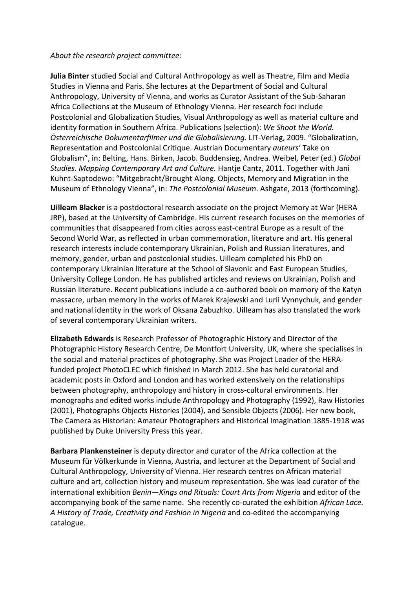## *About the research project committee:*

**Julia Binter** studied Social and Cultural Anthropology as well as Theatre, Film and Media Studies in Vienna and Paris. She lectures at the Department of Social and Cultural Anthropology, University of Vienna, and works as Curator Assistant of the Sub-Saharan Africa Collections at the Museum of Ethnology Vienna. Her research foci include Postcolonial and Globalization Studies, Visual Anthropology as well as material culture and identity formation in Southern Africa. Publications (selection): *We Shoot the World. Österreichische Dokumentarfilmer und die Globalisierung.* LIT-Verlag, 2009. "Globalization, Representation and Postcolonial Critique. Austrian Documentary *auteurs*' Take on Globalism", in: Belting, Hans. Birken, Jacob. Buddensieg, Andrea. Weibel, Peter (ed.) *Global Studies. Mapping Contemporary Art and Culture.* Hantje Cantz, 2011. Together with Jani Kuhnt-Saptodewo: "Mitgebracht/Brought Along. Objects, Memory and Migration in the Museum of Ethnology Vienna", in: *The Postcolonial Museum*. Ashgate, 2013 (forthcoming).

**Uilleam Blacker** is a postdoctoral research associate on the project Memory at War (HERA JRP), based at the University of Cambridge. His current research focuses on the memories of communities that disappeared from cities across east-central Europe as a result of the Second World War, as reflected in urban commemoration, literature and art. His general research interests include contemporary Ukrainian, Polish and Russian literatures, and memory, gender, urban and postcolonial studies. Uilleam completed his PhD on contemporary Ukrainian literature at the School of Slavonic and East European Studies, University College London. He has published articles and reviews on Ukrainian, Polish and Russian literature. Recent publications include a co-authored book on memory of the Katyn massacre, urban memory in the works of Marek Krajewski and Lurii Vynnychuk, and gender and national identity in the work of Oksana Zabuzhko. Uilleam has also translated the work of several contemporary Ukrainian writers.

**Elizabeth Edwards** is Research Professor of Photographic History and Director of the Photographic History Research Centre, De Montfort University, UK, where she specialises in the social and material practices of photography. She was Project Leader of the HERAfunded project PhotoCLEC which finished in March 2012. She has held curatorial and academic posts in Oxford and London and has worked extensively on the relationships between photography, anthropology and history in cross-cultural environments. Her monographs and edited works include Anthropology and Photography (1992), Raw Histories (2001), Photographs Objects Histories (2004), and Sensible Objects (2006). Her new book, The Camera as Historian: Amateur Photographers and Historical Imagination 1885-1918 was published by Duke University Press this year.

**Barbara Plankensteiner** is deputy director and curator of the Africa collection at the Museum für Völkerkunde in Vienna, Austria, and lecturer at the Department of Social and Cultural Anthropology, University of Vienna. Her research centres on African material culture and art, collection history and museum representation. She was lead curator of the international exhibition *Benin—Kings and Rituals: Court Arts from Nigeria* and editor of the accompanying book of the same name. She recently co-curated the exhibition *African Lace. A History of Trade, Creativity and Fashion in Nigeria* and co-edited the accompanying catalogue.